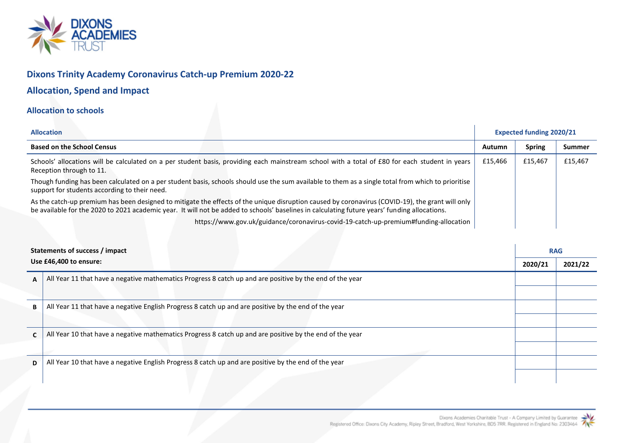

# **Dixons Trinity Academy Coronavirus Catch-up Premium 2020-22**

# **Allocation, Spend and Impact**

## **Allocation to schools**

| <b>Allocation</b>                                                                                                                                                                                                                                                                                 |         | <b>Expected funding 2020/21</b> |         |
|---------------------------------------------------------------------------------------------------------------------------------------------------------------------------------------------------------------------------------------------------------------------------------------------------|---------|---------------------------------|---------|
| <b>Based on the School Census</b>                                                                                                                                                                                                                                                                 | Autumn  | <b>Spring</b>                   | Summer  |
| Schools' allocations will be calculated on a per student basis, providing each mainstream school with a total of £80 for each student in years<br>Reception through to 11.                                                                                                                        | £15,466 | £15,467                         | £15,467 |
| Though funding has been calculated on a per student basis, schools should use the sum available to them as a single total from which to prioritise<br>support for students according to their need.                                                                                               |         |                                 |         |
| As the catch-up premium has been designed to mitigate the effects of the unique disruption caused by coronavirus (COVID-19), the grant will only<br>be available for the 2020 to 2021 academic year. It will not be added to schools' baselines in calculating future years' funding allocations. |         |                                 |         |
| https://www.gov.uk/guidance/coronavirus-covid-19-catch-up-premium#funding-allocation                                                                                                                                                                                                              |         |                                 |         |

| Statements of success / impact<br>Use £46,400 to ensure: |                                                                                                          | <b>RAG</b> |         |  |  |  |  |
|----------------------------------------------------------|----------------------------------------------------------------------------------------------------------|------------|---------|--|--|--|--|
|                                                          |                                                                                                          | 2020/21    | 2021/22 |  |  |  |  |
| A                                                        | All Year 11 that have a negative mathematics Progress 8 catch up and are positive by the end of the year |            |         |  |  |  |  |
|                                                          |                                                                                                          |            |         |  |  |  |  |
| В                                                        | All Year 11 that have a negative English Progress 8 catch up and are positive by the end of the year     |            |         |  |  |  |  |
|                                                          |                                                                                                          |            |         |  |  |  |  |
|                                                          | All Year 10 that have a negative mathematics Progress 8 catch up and are positive by the end of the year |            |         |  |  |  |  |
|                                                          |                                                                                                          |            |         |  |  |  |  |
| D                                                        | All Year 10 that have a negative English Progress 8 catch up and are positive by the end of the year     |            |         |  |  |  |  |
|                                                          |                                                                                                          |            |         |  |  |  |  |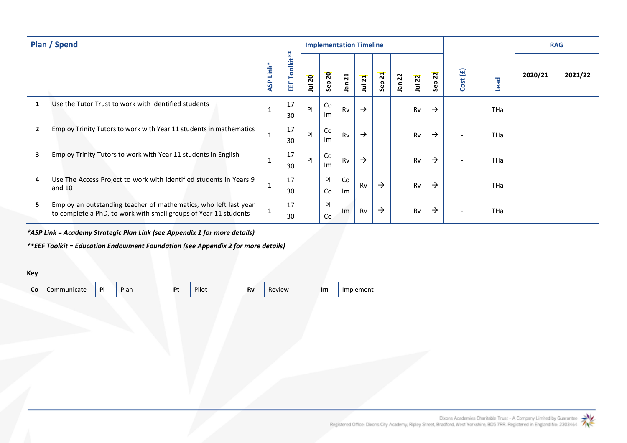| <b>Plan / Spend</b> |                                                                                                                                      |                                 |                | <b>Implementation Timeline</b> |                        |                               |               |               |                              |           |                       |          |            | <b>RAG</b> |         |
|---------------------|--------------------------------------------------------------------------------------------------------------------------------------|---------------------------------|----------------|--------------------------------|------------------------|-------------------------------|---------------|---------------|------------------------------|-----------|-----------------------|----------|------------|------------|---------|
|                     |                                                                                                                                      | $\ast$<br>Link<br><b>G</b><br>⋖ | Toolkit**<br>甾 | Jul 20                         | $\overline{20}$<br>Sep | $\overline{21}$<br><b>net</b> | Jul 21        | <b>Sep 21</b> | $\overline{2}$<br><b>ner</b> | Jul 22    | $\overline{2}$<br>Sep | Cost (£) | Lead       | 2020/21    | 2021/22 |
|                     | Use the Tutor Trust to work with identified students                                                                                 |                                 | 17<br>30       | P                              | Co<br>Im               | Rv                            | $\rightarrow$ |               |                              | <b>Rv</b> | $\rightarrow$         |          | <b>THa</b> |            |         |
| $\overline{2}$      | Employ Trinity Tutors to work with Year 11 students in mathematics                                                                   |                                 | 17<br>30       | P                              | Co<br>Im               | Rv                            | $\rightarrow$ |               |                              | <b>Rv</b> | $\rightarrow$         |          | <b>THa</b> |            |         |
| 3                   | Employ Trinity Tutors to work with Year 11 students in English                                                                       |                                 | 17<br>30       | P                              | Co<br>Im               | Rv                            | $\rightarrow$ |               |                              | <b>Rv</b> | $\rightarrow$         |          | <b>THa</b> |            |         |
| 4                   | Use The Access Project to work with identified students in Years 9<br>and $10$                                                       |                                 | 17<br>30       |                                | P<br>Co                | Co<br>Im                      | Rv            | $\rightarrow$ |                              | Rv        | $\rightarrow$         |          | <b>THa</b> |            |         |
| 5                   | Employ an outstanding teacher of mathematics, who left last year<br>to complete a PhD, to work with small groups of Year 11 students |                                 | 17<br>30       |                                | P<br>Co                | Im                            | Rv            | $\rightarrow$ |                              | Rv        | $\rightarrow$         |          | <b>THa</b> |            |         |

*\*ASP Link = Academy Strategic Plan Link (see Appendix 1 for more details)*

*\*\*EEF Toolkit = Education Endowment Foundation (see Appendix 2 for more details)*

**Key**

**Co** Communicate **Pl** Plan **Pt** Pilot **Rv** Review **Im** Implement

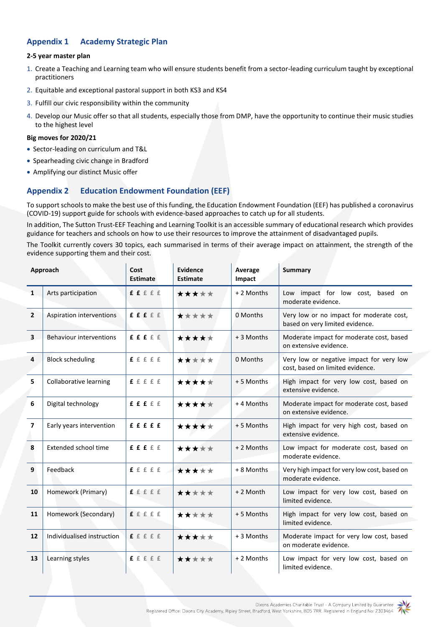### **Appendix 1 Academy Strategic Plan**

#### **2-5 year master plan**

- 1. Create a Teaching and Learning team who will ensure students benefit from a sector-leading curriculum taught by exceptional practitioners
- 2. Equitable and exceptional pastoral support in both KS3 and KS4
- 3. Fulfill our civic responsibility within the community
- 4. Develop our Music offer so that all students, especially those from DMP, have the opportunity to continue their music studies to the highest level

#### **Big moves for 2020/21**

- Sector-leading on curriculum and T&L
- Spearheading civic change in Bradford
- Amplifying our distinct Music offer

### **Appendix 2 Education Endowment Foundation (EEF)**

To support schools to make the best use of this funding, the Education Endowment Foundation (EEF) has published [a coronavirus](https://educationendowmentfoundation.org.uk/covid-19-resources/covid-19-support-guide-for-schools/#nav-covid-19-support-guide-for-schools1)  [\(COVID-19\) support guide for schools](https://educationendowmentfoundation.org.uk/covid-19-resources/covid-19-support-guide-for-schools/#nav-covid-19-support-guide-for-schools1) with evidence-based approaches to catch up for all students.

In addition, The Sutton Trust-EEF Teaching and Learning Toolkit is an accessible summary of educational research which provides guidance for teachers and schools on how to use their resources to improve the attainment of disadvantaged pupils.

The Toolkit currently covers 30 topics, each summarised in terms of their average impact on attainment, the strength of the evidence supporting them and their cost.

| Approach                |                            | Cost<br><b>Estimate</b> | <b>Evidence</b><br>Estimate | Average<br>Impact | <b>Summary</b>                                                               |  |  |  |  |
|-------------------------|----------------------------|-------------------------|-----------------------------|-------------------|------------------------------------------------------------------------------|--|--|--|--|
| $\mathbf{1}$            | Arts participation         | f f f f f f             | *****                       | + 2 Months        | Low impact for low cost,<br>based on<br>moderate evidence.                   |  |  |  |  |
| $\overline{2}$          | Aspiration interventions   | f f f f f f             | *****                       | 0 Months          | Very low or no impact for moderate cost,<br>based on very limited evidence.  |  |  |  |  |
| $\overline{\mathbf{3}}$ | Behaviour interventions    | f f f f f f             | *****                       | + 3 Months        | Moderate impact for moderate cost, based<br>on extensive evidence.           |  |  |  |  |
| 4                       | <b>Block scheduling</b>    | f f f f f               | *****                       | 0 Months          | Very low or negative impact for very low<br>cost, based on limited evidence. |  |  |  |  |
| 5                       | Collaborative learning     | f f f f f f             | *****                       | +5 Months         | High impact for very low cost, based on<br>extensive evidence.               |  |  |  |  |
| 6                       | Digital technology         | f f f f f f             | *****                       | +4 Months         | Moderate impact for moderate cost, based<br>on extensive evidence.           |  |  |  |  |
| 7                       | Early years intervention   | fffff                   | *****                       | +5 Months         | High impact for very high cost, based on<br>extensive evidence.              |  |  |  |  |
| 8                       | Extended school time       | f f f f f f             | *****                       | + 2 Months        | Low impact for moderate cost, based on<br>moderate evidence.                 |  |  |  |  |
| 9                       | Feedback                   | ffffff                  | *****                       | + 8 Months        | Very high impact for very low cost, based on<br>moderate evidence.           |  |  |  |  |
| 10                      | Homework (Primary)         | f f f f f               | *****                       | + 2 Month         | Low impact for very low cost, based on<br>limited evidence.                  |  |  |  |  |
| 11                      | Homework (Secondary)       | f f f f f f             | *****                       | +5 Months         | High impact for very low cost, based on<br>limited evidence.                 |  |  |  |  |
| 12                      | Individualised instruction | f f f f f               | *****                       | + 3 Months        | Moderate impact for very low cost, based<br>on moderate evidence.            |  |  |  |  |
| 13                      | Learning styles            | f f f f f               | *****                       | +2 Months         | Low impact for very low cost, based on<br>limited evidence.                  |  |  |  |  |